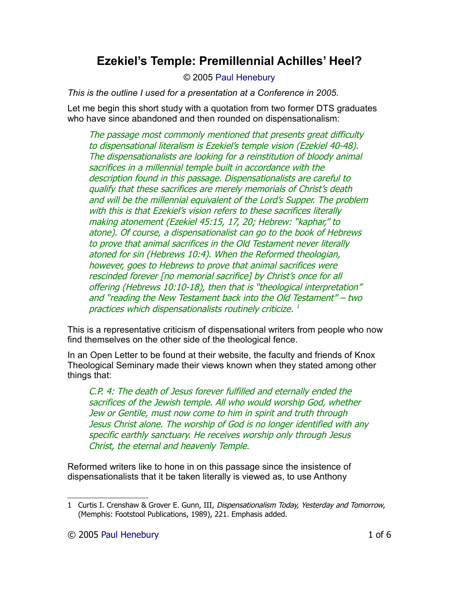# **Ezekiel's Temple: Premillennial Achilles' Heel?**

#### © 2005 [Paul Henebury](http://www.spiritandtruth.org/id/ph.htm)

*This is the outline I used for a presentation at a Conference in 2005.*

Let me begin this short study with a quotation from two former DTS graduates who have since abandoned and then rounded on dispensationalism:

The passage most commonly mentioned that presents great difficulty to dispensational literalism is Ezekiel's temple vision (Ezekiel 40-48). The dispensationalists are looking for a reinstitution of bloody animal sacrifices in a millennial temple built in accordance with the description found in this passage. Dispensationalists are careful to qualify that these sacrifices are merely memorials of Christ's death and will be the millennial equivalent of the Lord's Supper. The problem with this is that Ezekiel's vision refers to these sacrifices literally making atonement (Ezekiel 45:15, 17, 20; Hebrew: "kaphar," to atone). Of course, a dispensationalist can go to the book of Hebrews to prove that animal sacrifices in the Old Testament never literally atoned for sin (Hebrews 10:4). When the Reformed theologian, however, goes to Hebrews to prove that animal sacrifices were rescinded forever [no memorial sacrifice] by Christ's once for all offering (Hebrews 10:10-18), then that is "theological interpretation" and "reading the New Testament back into the Old Testament" – two practices which dispensationalists routinely criticize. [1](#page-0-0)

This is a representative criticism of dispensational writers from people who now find themselves on the other side of the theological fence.

In an Open Letter to be found at their website, the faculty and friends of Knox Theological Seminary made their views known when they stated among other things that:

C.P. 4: The death of Jesus forever fulfilled and eternally ended the sacrifices of the Jewish temple. All who would worship God, whether Jew or Gentile, must now come to him in spirit and truth through Jesus Christ alone. The worship of God is no longer identified with any specific earthly sanctuary. He receives worship only through Jesus Christ, the eternal and heavenly Temple.

Reformed writers like to hone in on this passage since the insistence of dispensationalists that it be taken literally is viewed as, to use Anthony

<span id="page-0-0"></span><sup>1</sup> Curtis I. Crenshaw & Grover E. Gunn, III, Dispensationalism Today, Yesterday and Tomorrow, (Memphis: Footstool Publications, 1989), 221. Emphasis added.

<sup>© 2005</sup> [Paul Henebury](http://www.spiritandtruth.org/id/ph.htm) 1 of 6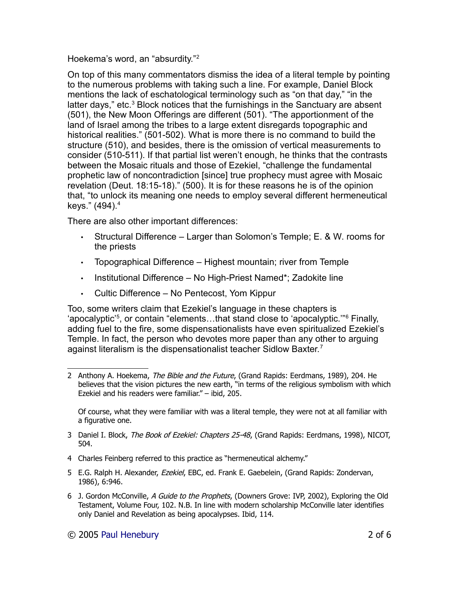Hoekema's word, an "absurdity."[2](#page-1-0)

On top of this many commentators dismiss the idea of a literal temple by pointing to the numerous problems with taking such a line. For example, Daniel Block mentions the lack of eschatological terminology such as "on that day," "in the latter days," etc.<sup>[3](#page-1-1)</sup> Block notices that the furnishings in the Sanctuary are absent (501), the New Moon Offerings are different (501). "The apportionment of the land of Israel among the tribes to a large extent disregards topographic and historical realities." (501-502). What is more there is no command to build the structure (510), and besides, there is the omission of vertical measurements to consider (510-511). If that partial list weren't enough, he thinks that the contrasts between the Mosaic rituals and those of Ezekiel, "challenge the fundamental prophetic law of noncontradiction [since] true prophecy must agree with Mosaic revelation (Deut. 18:15-18)." (500). It is for these reasons he is of the opinion that, "to unlock its meaning one needs to employ several different hermeneutical keys." ([4](#page-1-2)94).<sup>4</sup>

There are also other important differences:

- Structural Difference Larger than Solomon's Temple; E. & W. rooms for the priests
- Topographical Difference Highest mountain; river from Temple
- Institutional Difference No High-Priest Named\*; Zadokite line
- Cultic Difference No Pentecost, Yom Kippur

Too, some writers claim that Ezekiel's language in these chapters is 'apocalyptic'<sup>[5](#page-1-3)</sup>, or contain "elements...that stand close to 'apocalyptic."<sup>[6](#page-1-4)</sup> Finally, adding fuel to the fire, some dispensationalists have even spiritualized Ezekiel's Temple. In fact, the person who devotes more paper than any other to arguing against literalism is the dispensationalist teacher Sidlow Baxter.<sup>[7](#page-2-0)</sup>

Of course, what they were familiar with was a literal temple, they were not at all familiar with a figurative one.

- <span id="page-1-1"></span>3 Daniel I. Block, The Book of Ezekiel: Chapters 25-48, (Grand Rapids: Eerdmans, 1998), NICOT, 504.
- <span id="page-1-2"></span>4 Charles Feinberg referred to this practice as "hermeneutical alchemy."
- <span id="page-1-3"></span>5 E.G. Ralph H. Alexander, Ezekiel, EBC, ed. Frank E. Gaebelein, (Grand Rapids: Zondervan, 1986), 6:946.
- <span id="page-1-4"></span>6 J. Gordon McConville, A Guide to the Prophets, (Downers Grove: IVP, 2002), Exploring the Old Testament, Volume Four, 102. N.B. In line with modern scholarship McConville later identifies only Daniel and Revelation as being apocalypses. Ibid, 114.

<span id="page-1-0"></span><sup>2</sup> Anthony A. Hoekema, The Bible and the Future, (Grand Rapids: Eerdmans, 1989), 204. He believes that the vision pictures the new earth, "in terms of the religious symbolism with which Ezekiel and his readers were familiar." – ibid, 205.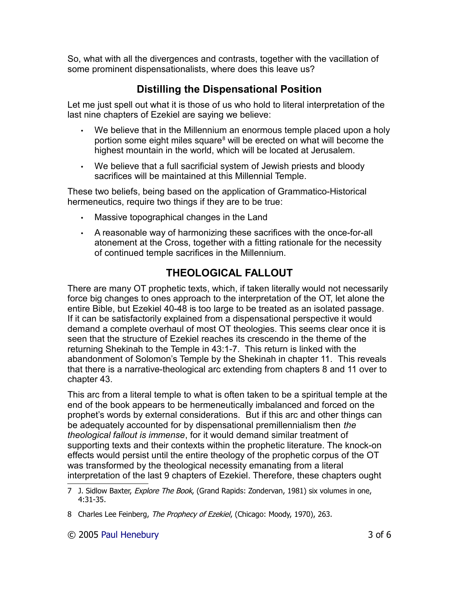So, what with all the divergences and contrasts, together with the vacillation of some prominent dispensationalists, where does this leave us?

# **Distilling the Dispensational Position**

Let me just spell out what it is those of us who hold to literal interpretation of the last nine chapters of Ezekiel are saying we believe:

- We believe that in the Millennium an enormous temple placed upon a holy portion some eight miles square<sup>[8](#page-2-1)</sup> will be erected on what will become the highest mountain in the world, which will be located at Jerusalem.
- We believe that a full sacrificial system of Jewish priests and bloody sacrifices will be maintained at this Millennial Temple.

These two beliefs, being based on the application of Grammatico-Historical hermeneutics, require two things if they are to be true:

- Massive topographical changes in the Land
- A reasonable way of harmonizing these sacrifices with the once-for-all atonement at the Cross, together with a fitting rationale for the necessity of continued temple sacrifices in the Millennium.

# **THEOLOGICAL FALLOUT**

There are many OT prophetic texts, which, if taken literally would not necessarily force big changes to ones approach to the interpretation of the OT, let alone the entire Bible, but Ezekiel 40-48 is too large to be treated as an isolated passage. If it can be satisfactorily explained from a dispensational perspective it would demand a complete overhaul of most OT theologies. This seems clear once it is seen that the structure of Ezekiel reaches its crescendo in the theme of the returning Shekinah to the Temple in 43:1-7. This return is linked with the abandonment of Solomon's Temple by the Shekinah in chapter 11. This reveals that there is a narrative-theological arc extending from chapters 8 and 11 over to chapter 43.

This arc from a literal temple to what is often taken to be a spiritual temple at the end of the book appears to be hermeneutically imbalanced and forced on the prophet's words by external considerations. But if this arc and other things can be adequately accounted for by dispensational premillennialism then *the theological fallout is immense*, for it would demand similar treatment of supporting texts and their contexts within the prophetic literature. The knock-on effects would persist until the entire theology of the prophetic corpus of the OT was transformed by the theological necessity emanating from a literal interpretation of the last 9 chapters of Ezekiel. Therefore, these chapters ought

<span id="page-2-0"></span><sup>7</sup> J. Sidlow Baxter, Explore The Book, (Grand Rapids: Zondervan, 1981) six volumes in one, 4:31-35.

<span id="page-2-1"></span><sup>8</sup> Charles Lee Feinberg, The Prophecy of Ezekiel, (Chicago: Moody, 1970), 263.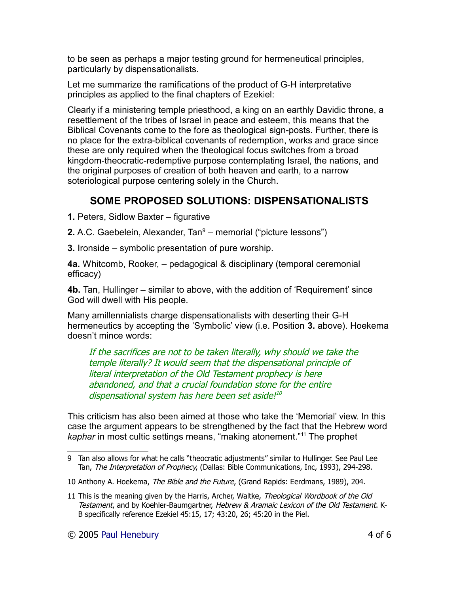to be seen as perhaps a major testing ground for hermeneutical principles, particularly by dispensationalists.

Let me summarize the ramifications of the product of G-H interpretative principles as applied to the final chapters of Ezekiel:

Clearly if a ministering temple priesthood, a king on an earthly Davidic throne, a resettlement of the tribes of Israel in peace and esteem, this means that the Biblical Covenants come to the fore as theological sign-posts. Further, there is no place for the extra-biblical covenants of redemption, works and grace since these are only required when the theological focus switches from a broad kingdom-theocratic-redemptive purpose contemplating Israel, the nations, and the original purposes of creation of both heaven and earth, to a narrow soteriological purpose centering solely in the Church.

# **SOME PROPOSED SOLUTIONS: DISPENSATIONALISTS**

**1.** Peters, Sidlow Baxter – figurative

**2.** A.C. Gaebelein, Alexander, Tan<sup>[9](#page-3-0)</sup> – memorial ("picture lessons")

**3.** Ironside – symbolic presentation of pure worship.

**4a.** Whitcomb, Rooker, – pedagogical & disciplinary (temporal ceremonial efficacy)

**4b.** Tan, Hullinger – similar to above, with the addition of 'Requirement' since God will dwell with His people.

Many amillennialists charge dispensationalists with deserting their G-H hermeneutics by accepting the 'Symbolic' view (i.e. Position **3.** above). Hoekema doesn't mince words:

If the sacrifices are not to be taken literally, why should we take the temple literally? It would seem that the dispensational principle of literal interpretation of the Old Testament prophecy is here abandoned, and that a crucial foundation stone for the entire dispensational system has here been set aside!<sup>[10](#page-3-1)</sup>

This criticism has also been aimed at those who take the 'Memorial' view. In this case the argument appears to be strengthened by the fact that the Hebrew word *kaphar* in most cultic settings means, "making atonement."[11](#page-3-2) The prophet

<span id="page-3-0"></span><sup>9</sup> Tan also allows for what he calls "theocratic adjustments" similar to Hullinger. See Paul Lee Tan, The Interpretation of Prophecy, (Dallas: Bible Communications, Inc, 1993), 294-298.

<span id="page-3-1"></span><sup>10</sup> Anthony A. Hoekema, The Bible and the Future, (Grand Rapids: Eerdmans, 1989), 204.

<span id="page-3-2"></span><sup>11</sup> This is the meaning given by the Harris, Archer, Waltke, Theological Wordbook of the Old Testament, and by Koehler-Baumgartner, Hebrew & Aramaic Lexicon of the Old Testament. K-B specifically reference Ezekiel 45:15, 17; 43:20, 26; 45:20 in the Piel.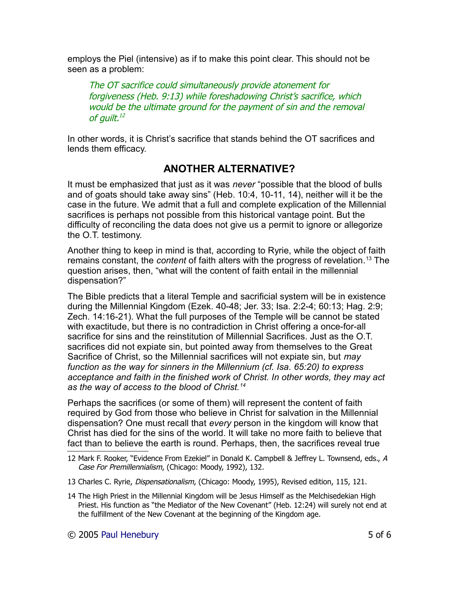employs the Piel (intensive) as if to make this point clear. This should not be seen as a problem:

The OT sacrifice could simultaneously provide atonement for forgiveness (Heb. 9:13) while foreshadowing Christ's sacrifice, which would be the ultimate ground for the payment of sin and the removal of guilt. [12](#page-4-0)

In other words, it is Christ's sacrifice that stands behind the OT sacrifices and lends them efficacy.

#### **ANOTHER ALTERNATIVE?**

It must be emphasized that just as it was *never* "possible that the blood of bulls and of goats should take away sins" (Heb. 10:4, 10-11, 14), neither will it be the case in the future. We admit that a full and complete explication of the Millennial sacrifices is perhaps not possible from this historical vantage point. But the difficulty of reconciling the data does not give us a permit to ignore or allegorize the O.T. testimony.

Another thing to keep in mind is that, according to Ryrie, while the object of faith remains constant, the *content* of faith alters with the progress of revelation.[13](#page-4-1) The question arises, then, "what will the content of faith entail in the millennial dispensation?"

The Bible predicts that a literal Temple and sacrificial system will be in existence during the Millennial Kingdom (Ezek. 40-48; Jer. 33; Isa. 2:2-4; 60:13; Hag. 2:9; Zech. 14:16-21). What the full purposes of the Temple will be cannot be stated with exactitude, but there is no contradiction in Christ offering a once-for-all sacrifice for sins and the reinstitution of Millennial Sacrifices. Just as the O.T. sacrifices did not expiate sin, but pointed away from themselves to the Great Sacrifice of Christ, so the Millennial sacrifices will not expiate sin, but *may function as the way for sinners in the Millennium (cf. Isa. 65:20) to express acceptance and faith in the finished work of Christ. In other words, they may act as the way of access to the blood of Christ.[14](#page-4-2)*

Perhaps the sacrifices (or some of them) will represent the content of faith required by God from those who believe in Christ for salvation in the Millennial dispensation? One must recall that *every* person in the kingdom will know that Christ has died for the sins of the world. It will take no more faith to believe that fact than to believe the earth is round. Perhaps, then, the sacrifices reveal true

- <span id="page-4-1"></span>13 Charles C. Ryrie, Dispensationalism, (Chicago: Moody, 1995), Revised edition, 115, 121.
- <span id="page-4-2"></span>14 The High Priest in the Millennial Kingdom will be Jesus Himself as the Melchisedekian High Priest. His function as "the Mediator of the New Covenant" (Heb. 12:24) will surely not end at the fulfillment of the New Covenant at the beginning of the Kingdom age.

<span id="page-4-0"></span><sup>12</sup> Mark F. Rooker, "Evidence From Ezekiel" in Donald K. Campbell & Jeffrey L. Townsend, eds., A Case For Premillennialism, (Chicago: Moody, 1992), 132.